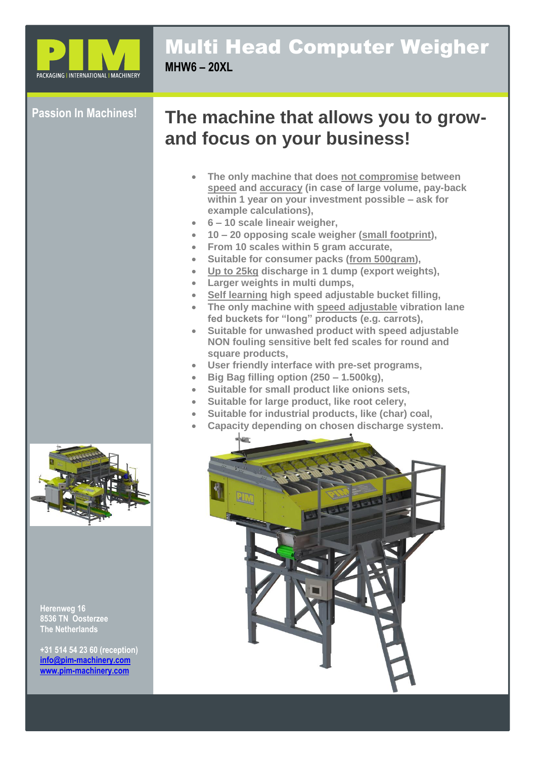

### Multi Head Computer Weigher **MHW6 – 20XL**

#### **Passion In Machines!**

# **The machine that allows you to growand focus on your business!**

- **The only machine that does not compromise between speed and accuracy (in case of large volume, pay-back within 1 year on your investment possible – ask for example calculations),**
- **6 – 10 scale lineair weigher,**
- **10 – 20 opposing scale weigher (small footprint),**
- **From 10 scales within 5 gram accurate,**
- **Suitable for consumer packs (from 500gram),**
- **Up to 25kg discharge in 1 dump (export weights),**
- **Larger weights in multi dumps,**
- **Self learning high speed adjustable bucket filling,**
- **The only machine with speed adjustable vibration lane fed buckets for "long" products (e.g. carrots),**
- **Suitable for unwashed product with speed adjustable NON fouling sensitive belt fed scales for round and square products,**
- **User friendly interface with pre-set programs,**
- **Big Bag filling option (250 – 1.500kg),**
- **Suitable for small product like onions sets,**
- **Suitable for large product, like root celery,**
- **Suitable for industrial products, like (char) coal,**
- **Capacity depending on chosen discharge system.**





**Herenweg 16 8536 TN Oosterzee The Netherlands**

**+31 514 54 23 60 (reception) [info@pim-machinery.com](mailto:info@pim-machinery.com) [www.pim-machinery.com](http://www.pim-machinery.com/)**